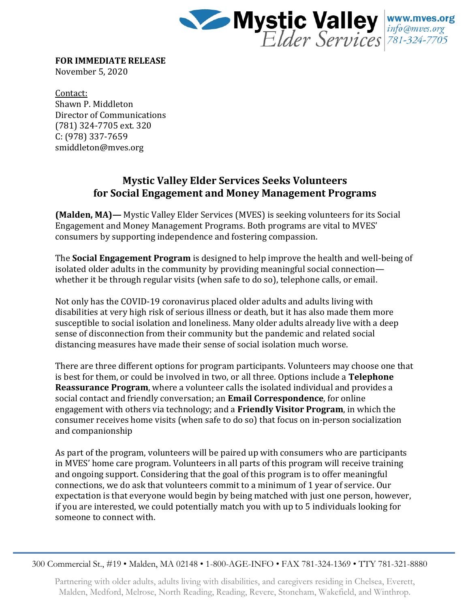

**FOR IMMEDIATE RELEASE** November 5, 2020

Contact: Shawn P. Middleton Director of Communications (781) 324-7705 ext. 320 C: (978) 337-7659 smiddleton@mves.org

## **Mystic Valley Elder Services Seeks Volunteers for Social Engagement and Money Management Programs**

**(Malden, MA)—** Mystic Valley Elder Services (MVES) is seeking volunteers for its Social Engagement and Money Management Programs. Both programs are vital to MVES' consumers by supporting independence and fostering compassion.

The **Social Engagement Program** is designed to help improve the health and well-being of isolated older adults in the community by providing meaningful social connection whether it be through regular visits (when safe to do so), telephone calls, or email.

Not only has the COVID-19 coronavirus placed older adults and adults living with disabilities at very high risk of serious illness or death, but it has also made them more susceptible to social isolation and loneliness. Many older adults already live with a deep sense of disconnection from their community but the pandemic and related social distancing measures have made their sense of social isolation much worse.

There are three different options for program participants. Volunteers may choose one that is best for them, or could be involved in two, or all three. Options include a **Telephone Reassurance Program**, where a volunteer calls the isolated individual and provides a social contact and friendly conversation; an **Email Correspondence**, for online engagement with others via technology; and a **Friendly Visitor Program**, in which the consumer receives home visits (when safe to do so) that focus on in-person socialization and companionship

As part of the program, volunteers will be paired up with consumers who are participants in MVES' home care program. Volunteers in all parts of this program will receive training and ongoing support. Considering that the goal of this program is to offer meaningful connections, we do ask that volunteers commit to a minimum of 1 year of service. Our expectation is that everyone would begin by being matched with just one person, however, if you are interested, we could potentially match you with up to 5 individuals looking for someone to connect with.

300 Commercial St., #19 • Malden, MA 02148 • 1-800-AGE-INFO • FAX 781-324-1369 • TTY 781-321-8880

Partnering with older adults, adults living with disabilities, and caregivers residing in Chelsea, Everett, Malden, Medford, Melrose, North Reading, Reading, Revere, Stoneham, Wakefield, and Winthrop.